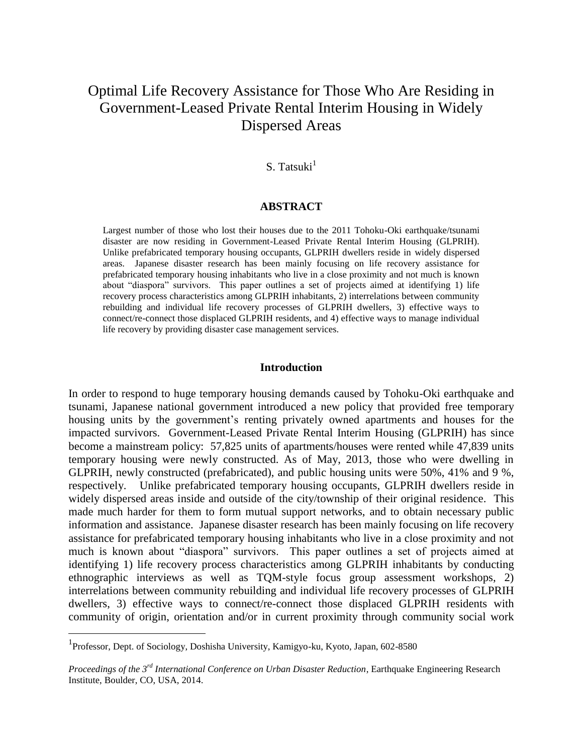# Optimal Life Recovery Assistance for Those Who Are Residing in Government-Leased Private Rental Interim Housing in Widely Dispersed Areas

# S. Tatsuki $<sup>1</sup>$ </sup>

## **ABSTRACT**

Largest number of those who lost their houses due to the 2011 Tohoku-Oki earthquake/tsunami disaster are now residing in Government-Leased Private Rental Interim Housing (GLPRIH). Unlike prefabricated temporary housing occupants, GLPRIH dwellers reside in widely dispersed areas. Japanese disaster research has been mainly focusing on life recovery assistance for prefabricated temporary housing inhabitants who live in a close proximity and not much is known about "diaspora" survivors. This paper outlines a set of projects aimed at identifying 1) life recovery process characteristics among GLPRIH inhabitants, 2) interrelations between community rebuilding and individual life recovery processes of GLPRIH dwellers, 3) effective ways to connect/re-connect those displaced GLPRIH residents, and 4) effective ways to manage individual life recovery by providing disaster case management services.

#### **Introduction**

In order to respond to huge temporary housing demands caused by Tohoku-Oki earthquake and tsunami, Japanese national government introduced a new policy that provided free temporary housing units by the government's renting privately owned apartments and houses for the impacted survivors. Government-Leased Private Rental Interim Housing (GLPRIH) has since become a mainstream policy: 57,825 units of apartments/houses were rented while 47,839 units temporary housing were newly constructed. As of May, 2013, those who were dwelling in GLPRIH, newly constructed (prefabricated), and public housing units were 50%, 41% and 9 %, respectively. Unlike prefabricated temporary housing occupants, GLPRIH dwellers reside in widely dispersed areas inside and outside of the city/township of their original residence. This made much harder for them to form mutual support networks, and to obtain necessary public information and assistance. Japanese disaster research has been mainly focusing on life recovery assistance for prefabricated temporary housing inhabitants who live in a close proximity and not much is known about "diaspora" survivors. This paper outlines a set of projects aimed at identifying 1) life recovery process characteristics among GLPRIH inhabitants by conducting ethnographic interviews as well as TQM-style focus group assessment workshops, 2) interrelations between community rebuilding and individual life recovery processes of GLPRIH dwellers, 3) effective ways to connect/re-connect those displaced GLPRIH residents with community of origin, orientation and/or in current proximity through community social work

a<br>B

<sup>&</sup>lt;sup>1</sup> Professor, Dept. of Sociology, Doshisha University, Kamigyo-ku, Kyoto, Japan, 602-8580

Proceedings of the 3<sup>rd</sup> International Conference on Urban Disaster Reduction, Earthquake Engineering Research Institute, Boulder, CO, USA, 2014.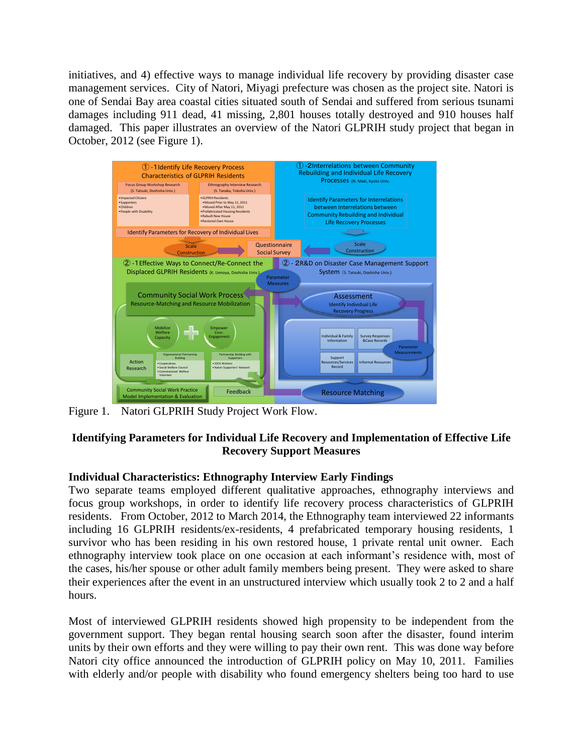initiatives, and 4) effective ways to manage individual life recovery by providing disaster case management services. City of Natori, Miyagi prefecture was chosen as the project site. Natori is one of Sendai Bay area coastal cities situated south of Sendai and suffered from serious tsunami damages including 911 dead, 41 missing, 2,801 houses totally destroyed and 910 houses half damaged. This paper illustrates an overview of the Natori GLPRIH study project that began in October, 2012 (see Figure 1).



Figure 1. Natori GLPRIH Study Project Work Flow.

# **Identifying Parameters for Individual Life Recovery and Implementation of Effective Life Recovery Support Measures**

# **Individual Characteristics: Ethnography Interview Early Findings**

Two separate teams employed different qualitative approaches, ethnography interviews and focus group workshops, in order to identify life recovery process characteristics of GLPRIH residents. From October, 2012 to March 2014, the Ethnography team interviewed 22 informants including 16 GLPRIH residents/ex-residents, 4 prefabricated temporary housing residents, 1 survivor who has been residing in his own restored house, 1 private rental unit owner. Each ethnography interview took place on one occasion at each informant's residence with, most of the cases, his/her spouse or other adult family members being present. They were asked to share their experiences after the event in an unstructured interview which usually took 2 to 2 and a half hours.

Most of interviewed GLPRIH residents showed high propensity to be independent from the government support. They began rental housing search soon after the disaster, found interim units by their own efforts and they were willing to pay their own rent. This was done way before Natori city office announced the introduction of GLPRIH policy on May 10, 2011. Families with elderly and/or people with disability who found emergency shelters being too hard to use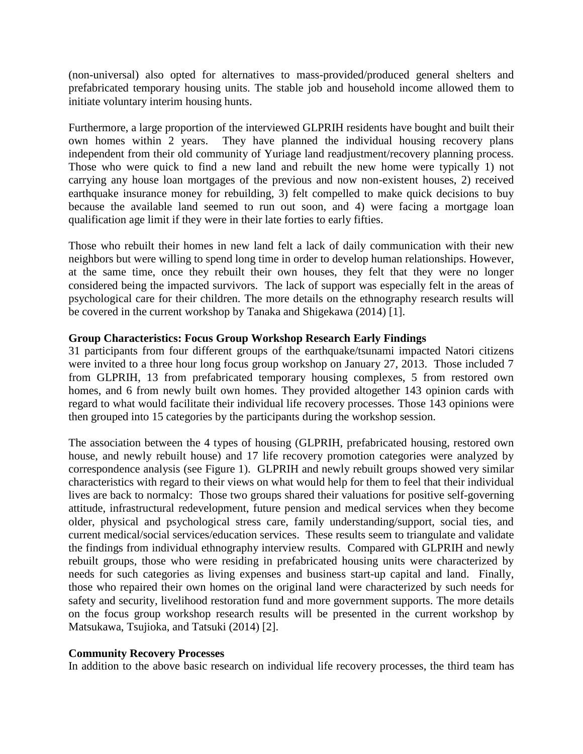(non-universal) also opted for alternatives to mass-provided/produced general shelters and prefabricated temporary housing units. The stable job and household income allowed them to initiate voluntary interim housing hunts.

Furthermore, a large proportion of the interviewed GLPRIH residents have bought and built their own homes within 2 years. They have planned the individual housing recovery plans independent from their old community of Yuriage land readjustment/recovery planning process. Those who were quick to find a new land and rebuilt the new home were typically 1) not carrying any house loan mortgages of the previous and now non-existent houses, 2) received earthquake insurance money for rebuilding, 3) felt compelled to make quick decisions to buy because the available land seemed to run out soon, and 4) were facing a mortgage loan qualification age limit if they were in their late forties to early fifties.

Those who rebuilt their homes in new land felt a lack of daily communication with their new neighbors but were willing to spend long time in order to develop human relationships. However, at the same time, once they rebuilt their own houses, they felt that they were no longer considered being the impacted survivors. The lack of support was especially felt in the areas of psychological care for their children. The more details on the ethnography research results will be covered in the current workshop by Tanaka and Shigekawa (2014) [1].

# **Group Characteristics: Focus Group Workshop Research Early Findings**

31 participants from four different groups of the earthquake/tsunami impacted Natori citizens were invited to a three hour long focus group workshop on January 27, 2013. Those included 7 from GLPRIH, 13 from prefabricated temporary housing complexes, 5 from restored own homes, and 6 from newly built own homes. They provided altogether 143 opinion cards with regard to what would facilitate their individual life recovery processes. Those 143 opinions were then grouped into 15 categories by the participants during the workshop session.

The association between the 4 types of housing (GLPRIH, prefabricated housing, restored own house, and newly rebuilt house) and 17 life recovery promotion categories were analyzed by correspondence analysis (see Figure 1). GLPRIH and newly rebuilt groups showed very similar characteristics with regard to their views on what would help for them to feel that their individual lives are back to normalcy: Those two groups shared their valuations for positive self-governing attitude, infrastructural redevelopment, future pension and medical services when they become older, physical and psychological stress care, family understanding/support, social ties, and current medical/social services/education services. These results seem to triangulate and validate the findings from individual ethnography interview results. Compared with GLPRIH and newly rebuilt groups, those who were residing in prefabricated housing units were characterized by needs for such categories as living expenses and business start-up capital and land. Finally, those who repaired their own homes on the original land were characterized by such needs for safety and security, livelihood restoration fund and more government supports. The more details on the focus group workshop research results will be presented in the current workshop by Matsukawa, Tsujioka, and Tatsuki (2014) [2].

# **Community Recovery Processes**

In addition to the above basic research on individual life recovery processes, the third team has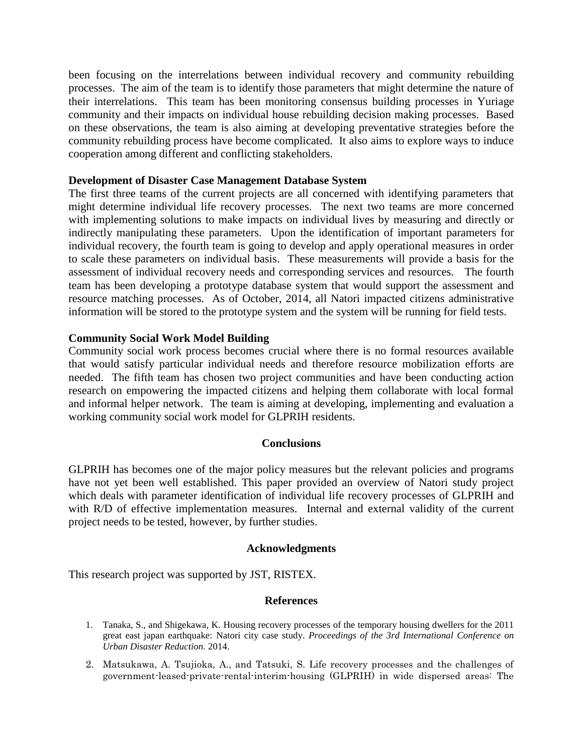been focusing on the interrelations between individual recovery and community rebuilding processes. The aim of the team is to identify those parameters that might determine the nature of their interrelations. This team has been monitoring consensus building processes in Yuriage community and their impacts on individual house rebuilding decision making processes. Based on these observations, the team is also aiming at developing preventative strategies before the community rebuilding process have become complicated. It also aims to explore ways to induce cooperation among different and conflicting stakeholders.

## **Development of Disaster Case Management Database System**

The first three teams of the current projects are all concerned with identifying parameters that might determine individual life recovery processes. The next two teams are more concerned with implementing solutions to make impacts on individual lives by measuring and directly or indirectly manipulating these parameters. Upon the identification of important parameters for individual recovery, the fourth team is going to develop and apply operational measures in order to scale these parameters on individual basis. These measurements will provide a basis for the assessment of individual recovery needs and corresponding services and resources. The fourth team has been developing a prototype database system that would support the assessment and resource matching processes. As of October, 2014, all Natori impacted citizens administrative information will be stored to the prototype system and the system will be running for field tests.

# **Community Social Work Model Building**

Community social work process becomes crucial where there is no formal resources available that would satisfy particular individual needs and therefore resource mobilization efforts are needed. The fifth team has chosen two project communities and have been conducting action research on empowering the impacted citizens and helping them collaborate with local formal and informal helper network. The team is aiming at developing, implementing and evaluation a working community social work model for GLPRIH residents.

## **Conclusions**

GLPRIH has becomes one of the major policy measures but the relevant policies and programs have not yet been well established. This paper provided an overview of Natori study project which deals with parameter identification of individual life recovery processes of GLPRIH and with R/D of effective implementation measures. Internal and external validity of the current project needs to be tested, however, by further studies.

## **Acknowledgments**

This research project was supported by JST, RISTEX.

## **References**

- 1. Tanaka, S., and Shigekawa, K. Housing recovery processes of the temporary housing dwellers for the 2011 great east japan earthquake: Natori city case study. *Proceedings of the 3rd International Conference on Urban Disaster Reduction.* 2014.
- 2. Matsukawa, A. Tsujioka, A., and Tatsuki, S. Life recovery processes and the challenges of government-leased-private-rental-interim-housing (GLPRIH) in wide dispersed areas: The